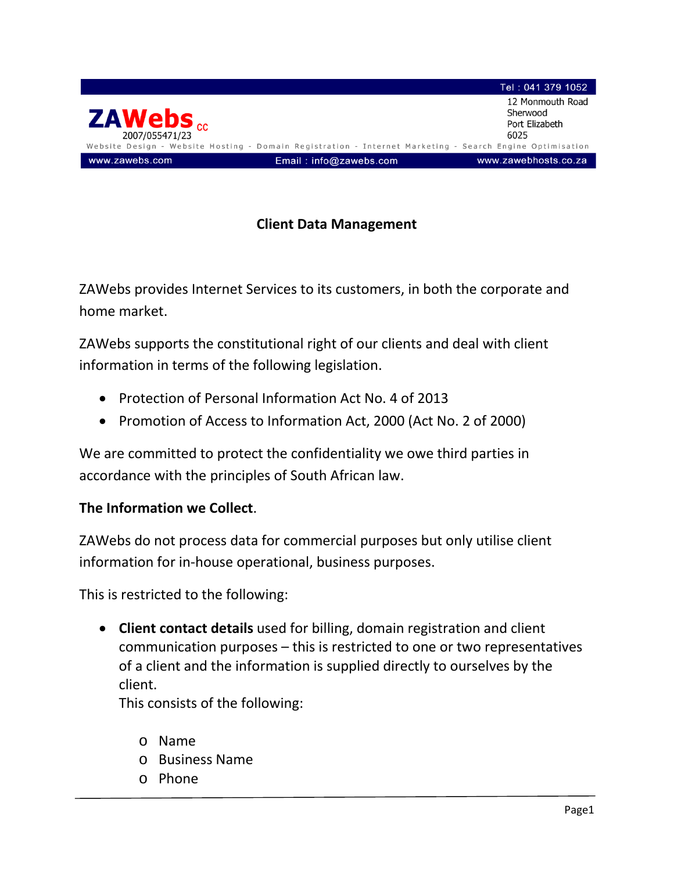

## **Client Data Management**

ZAWebs provides Internet Services to its customers, in both the corporate and home market.

ZAWebs supports the constitutional right of our clients and deal with client information in terms of the following legislation.

- Protection of Personal Information Act No. 4 of 2013
- Promotion of Access to Information Act, 2000 (Act No. 2 of 2000)

We are committed to protect the confidentiality we owe third parties in accordance with the principles of South African law.

## **The Information we Collect**.

ZAWebs do not process data for commercial purposes but only utilise client information for in-house operational, business purposes.

This is restricted to the following:

• **Client contact details** used for billing, domain registration and client communication purposes – this is restricted to one or two representatives of a client and the information is supplied directly to ourselves by the client.

This consists of the following:

- o Name
- o Business Name
- o Phone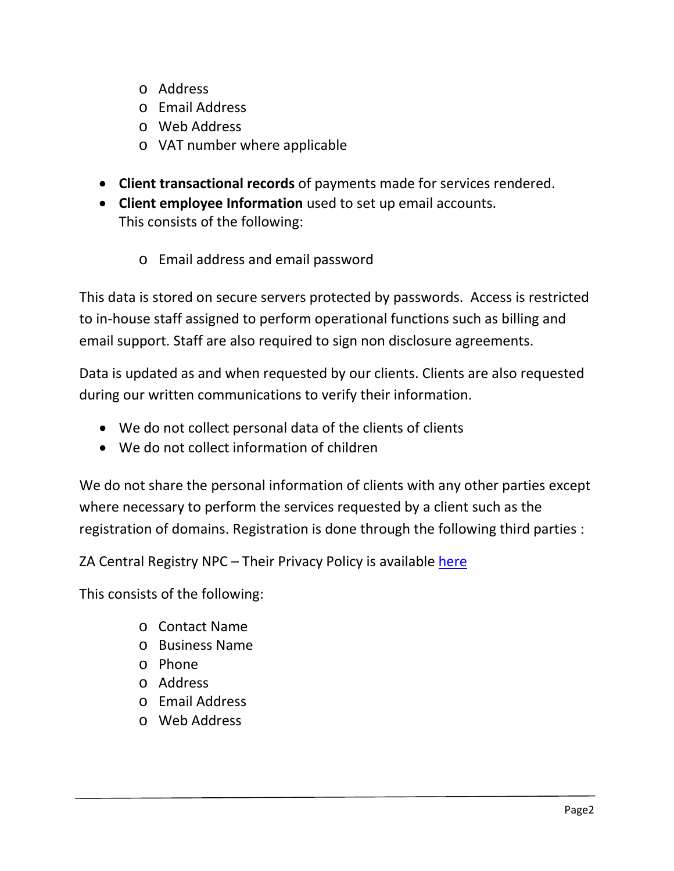- o Address
- o Email Address
- o Web Address
- o VAT number where applicable
- **Client transactional records** of payments made for services rendered.
- **Client employee Information** used to set up email accounts.

This consists of the following:

o Email address and email password

This data is stored on secure servers protected by passwords. Access is restricted to in-house staff assigned to perform operational functions such as billing and email support. Staff are also required to sign non disclosure agreements.

Data is updated as and when requested by our clients. Clients are also requested during our written communications to verify their information.

- We do not collect personal data of the clients of clients
- We do not collect information of children

We do not share the personal information of clients with any other parties except where necessary to perform the services requested by a client such as the registration of domains. Registration is done through the following third parties :

ZA Central Registry NPC – Their Privacy Policy is available [here](https://www.registry.net.za/downloads/u/ZACR_Privacy_Policy.pdf)

This consists of the following:

- o Contact Name
- o Business Name
- o Phone
- o Address
- o Email Address
- o Web Address